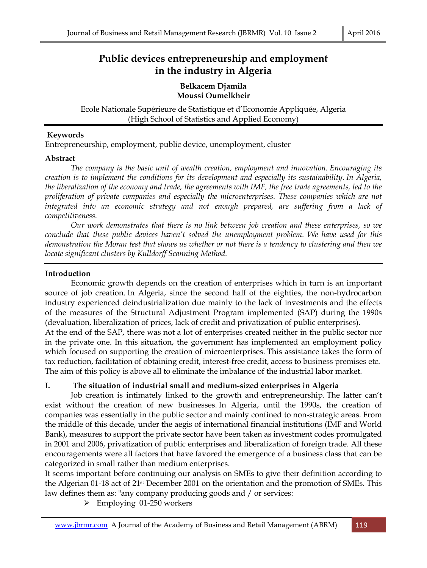# **Public devices entrepreneurship and employment in the industry in Algeria**

#### **Belkacem Djamila Moussi Oumelkheir**  Ì

Ecole Nationale Supérieure de Statistique et d'Economie Appliquée, Algeria (High School of Statistics and Applied Economy)

#### **Keywords**

Entrepreneurship, employment, public device, unemployment, cluster

#### **Abstract**

 *The company is the basic unit of wealth creation, employment and innovation. Encouraging its creation is to implement the conditions for its development and especially its sustainability. In Algeria, the liberalization of the economy and trade, the agreements with IMF, the free trade agreements, led to the proliferation of private companies and especially the microenterprises. These companies which are not integrated into an economic strategy and not enough prepared, are suffering from a lack of competitiveness.* 

 *Our work demonstrates that there is no link between job creation and these enterprises, so we conclude that these public devices haven't solved the unemployment problem. We have used for this demonstration the Moran test that shows us whether or not there is a tendency to clustering and then we locate significant clusters by Kulldorff Scanning Method.* 

### **Introduction**

 Economic growth depends on the creation of enterprises which in turn is an important source of job creation. In Algeria, since the second half of the eighties, the non-hydrocarbon industry experienced deindustrialization due mainly to the lack of investments and the effects of the measures of the Structural Adjustment Program implemented (SAP) during the 1990s (devaluation, liberalization of prices, lack of credit and privatization of public enterprises). At the end of the SAP, there was not a lot of enterprises created neither in the public sector nor in the private one. In this situation, the government has implemented an employment policy which focused on supporting the creation of microenterprises. This assistance takes the form of tax reduction, facilitation of obtaining credit, interest-free credit, access to business premises etc. The aim of this policy is above all to eliminate the imbalance of the industrial labor market.

### **I. The situation of industrial small and medium-sized enterprises in Algeria**

 Job creation is intimately linked to the growth and entrepreneurship. The latter can't exist without the creation of new businesses. In Algeria, until the 1990s, the creation of companies was essentially in the public sector and mainly confined to non-strategic areas. From the middle of this decade, under the aegis of international financial institutions (IMF and World Bank), measures to support the private sector have been taken as investment codes promulgated in 2001 and 2006, privatization of public enterprises and liberalization of foreign trade. All these encouragements were all factors that have favored the emergence of a business class that can be categorized in small rather than medium enterprises.

It seems important before continuing our analysis on SMEs to give their definition according to the Algerian 01-18 act of 21st December 2001 on the orientation and the promotion of SMEs. This law defines them as: "any company producing goods and / or services:

 $\triangleright$  Employing 01-250 workers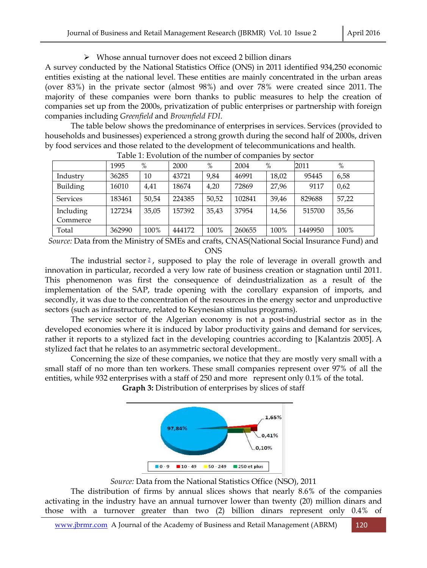#### Whose annual turnover does not exceed 2 billion dinars

A survey conducted by the National Statistics Office (ONS) in 2011 identified 934,250 economic entities existing at the national level. These entities are mainly concentrated in the urban areas (over 83%) in the private sector (almost 98%) and over 78% were created since 2011. The majority of these companies were born thanks to public measures to help the creation of companies set up from the 2000s, privatization of public enterprises or partnership with foreign companies including *Greenfield* and *Brownfield FDI*.

 The table below shows the predominance of enterprises in services. Services (provided to households and businesses) experienced a strong growth during the second half of 2000s, driven by food services and those related to the development of telecommunications and health*.*

|                       | 1995   | $\%$  | 2000   | $\%$  | 2004   | $\%$  | 2011    | $\%$  |
|-----------------------|--------|-------|--------|-------|--------|-------|---------|-------|
| Industry              | 36285  | 10    | 43721  | 9,84  | 46991  | 18,02 | 95445   | 6,58  |
| Building              | 16010  | 4,41  | 18674  | 4,20  | 72869  | 27,96 | 9117    | 0,62  |
| <b>Services</b>       | 183461 | 50,54 | 224385 | 50,52 | 102841 | 39.46 | 829688  | 57,22 |
| Including<br>Commerce | 127234 | 35,05 | 157392 | 35,43 | 37954  | 14,56 | 515700  | 35,56 |
| Total                 | 362990 | 100%  | 444172 | 100%  | 260655 | 100%  | 1449950 | 100%  |

Table 1: Evolution of the number of companies by sector

*Source:* Data from the Ministry of SMEs and crafts, CNAS(National Social Insurance Fund) and ONS

The industrial sector  $\frac{2}{3}$ , supposed to play the role of leverage in overall growth and innovation in particular, recorded a very low rate of business creation or stagnation until 2011. This phenomenon was first the consequence of deindustrialization as a result of the implementation of the SAP, trade opening with the corollary expansion of imports, and secondly, it was due to the concentration of the resources in the energy sector and unproductive sectors (such as infrastructure, related to Keynesian stimulus programs).

 The service sector of the Algerian economy is not a post-industrial sector as in the developed economies where it is induced by labor productivity gains and demand for services, rather it reports to a stylized fact in the developing countries according to [Kalantzis 2005]. A stylized fact that he relates to an asymmetric sectoral development..

 Concerning the size of these companies, we notice that they are mostly very small with a small staff of no more than ten workers. These small companies represent over 97% of all the entities, while 932 enterprises with a staff of 250 and more represent only 0.1% of the total. **Graph 3:** Distribution of enterprises by slices of staff





### *Source:* Data from the National Statistics Office (NSO), 2011

 The distribution of firms by annual slices shows that nearly 8.6% of the companies activating in the industry have an annual turnover lower than twenty (20) million dinars and those with a turnover greater than two (2) billion dinars represent only 0.4% of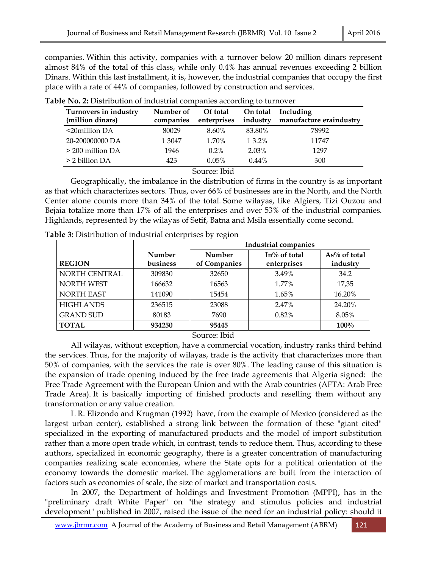companies. Within this activity, companies with a turnover below 20 million dinars represent almost 84% of the total of this class, while only 0.4% has annual revenues exceeding 2 billion Dinars. Within this last installment, it is, however, the industrial companies that occupy the first place with a rate of 44% of companies, followed by construction and services.

| Turnovers in industry<br>(million dinars) | Number of<br>companies | Of total<br>enterprises | On total<br>industry | Including<br>manufacture eraindustry |
|-------------------------------------------|------------------------|-------------------------|----------------------|--------------------------------------|
| $\leq$ 20 million DA                      | 80029                  | 8.60%                   | 83.80%               | 78992                                |
| 20-200000000 DA                           | 1 3047                 | 1.70%                   | 13.2%                | 11747                                |
| $>$ 200 million DA                        | 1946                   | $0.2\%$                 | 2.03%                | 1297                                 |
| > 2 billion DA                            | 423                    | 0.05%                   | $0.44\%$             | 300                                  |

**Table No. 2:** Distribution of industrial companies according to turnover

#### Source: Ibid

 Geographically, the imbalance in the distribution of firms in the country is as important as that which characterizes sectors. Thus, over 66% of businesses are in the North, and the North Center alone counts more than 34% of the total. Some wilayas, like Algiers, Tizi Ouzou and Bejaia totalize more than 17% of all the enterprises and over 53% of the industrial companies. Highlands, represented by the wilayas of Setif, Batna and Msila essentially come second.

|                   |                    | <b>Industrial companies</b> |                             |                          |  |
|-------------------|--------------------|-----------------------------|-----------------------------|--------------------------|--|
| <b>REGION</b>     | Number<br>business | Number<br>of Companies      | In% of total<br>enterprises | As% of total<br>industry |  |
| NORTH CENTRAL     | 309830             | 32650                       | 3.49%                       | 34.2                     |  |
| <b>NORTH WEST</b> | 166632             | 16563                       | 1.77%                       | 17,35                    |  |
| <b>NORTH EAST</b> | 141090             | 15454                       | 1.65%                       | 16.20%                   |  |
| <b>HIGHLANDS</b>  | 236515             | 23088                       | 2.47%                       | 24.20%                   |  |
| <b>GRAND SUD</b>  | 80183              | 7690                        | 0.82%                       | 8.05%                    |  |
| <b>TOTAL</b>      | 934250             | 95445                       |                             | $100\%$                  |  |
| Source: Ibid      |                    |                             |                             |                          |  |

**Table 3:** Distribution of industrial enterprises by region

 All wilayas, without exception, have a commercial vocation, industry ranks third behind the services. Thus, for the majority of wilayas, trade is the activity that characterizes more than 50% of companies, with the services the rate is over 80%. The leading cause of this situation is the expansion of trade opening induced by the free trade agreements that Algeria signed: the Free Trade Agreement with the European Union and with the Arab countries (AFTA: Arab Free Trade Area). It is basically importing of finished products and reselling them without any transformation or any value creation.

 L R. Elizondo and Krugman (1992) have, from the example of Mexico (considered as the largest urban center), established a strong link between the formation of these "giant cited" specialized in the exporting of manufactured products and the model of import substitution rather than a more open trade which, in contrast, tends to reduce them. Thus, according to these authors, specialized in economic geography, there is a greater concentration of manufacturing companies realizing scale economies, where the State opts for a political orientation of the economy towards the domestic market. The agglomerations are built from the interaction of factors such as economies of scale, the size of market and transportation costs.

 In 2007, the Department of holdings and Investment Promotion (MPPI), has in the "preliminary draft White Paper" on "the strategy and stimulus policies and industrial development" published in 2007, raised the issue of the need for an industrial policy: should it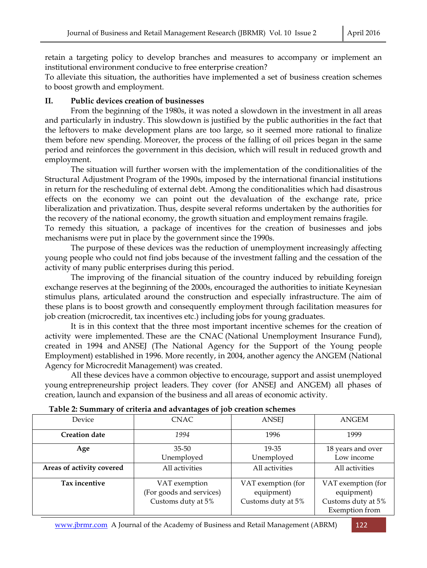retain a targeting policy to develop branches and measures to accompany or implement an institutional environment conducive to free enterprise creation?

To alleviate this situation, the authorities have implemented a set of business creation schemes to boost growth and employment.

### **II. Public devices creation of businesses**

 From the beginning of the 1980s, it was noted a slowdown in the investment in all areas and particularly in industry. This slowdown is justified by the public authorities in the fact that the leftovers to make development plans are too large, so it seemed more rational to finalize them before new spending. Moreover, the process of the falling of oil prices began in the same period and reinforces the government in this decision, which will result in reduced growth and employment.

 The situation will further worsen with the implementation of the conditionalities of the Structural Adjustment Program of the 1990s, imposed by the international financial institutions in return for the rescheduling of external debt. Among the conditionalities which had disastrous effects on the economy we can point out the devaluation of the exchange rate, price liberalization and privatization. Thus, despite several reforms undertaken by the authorities for the recovery of the national economy, the growth situation and employment remains fragile.

To remedy this situation, a package of incentives for the creation of businesses and jobs mechanisms were put in place by the government since the 1990s.

 The purpose of these devices was the reduction of unemployment increasingly affecting young people who could not find jobs because of the investment falling and the cessation of the activity of many public enterprises during this period.

 The improving of the financial situation of the country induced by rebuilding foreign exchange reserves at the beginning of the 2000s, encouraged the authorities to initiate Keynesian stimulus plans, articulated around the construction and especially infrastructure. The aim of these plans is to boost growth and consequently employment through facilitation measures for job creation (microcredit, tax incentives etc.) including jobs for young graduates.

 It is in this context that the three most important incentive schemes for the creation of activity were implemented. These are the CNAC (National Unemployment Insurance Fund), created in 1994 and ANSEJ (The National Agency for the Support of the Young people Employment) established in 1996. More recently, in 2004, another agency the ANGEM (National Agency for Microcredit Management) was created.

 All these devices have a common objective to encourage, support and assist unemployed young entrepreneurship project leaders. They cover (for ANSEJ and ANGEM) all phases of creation, launch and expansion of the business and all areas of economic activity.

| Tuble 2. Ouning y of chicha and auvanuages of job creation schemes |                                                                 |                                                        |                                                                          |  |  |
|--------------------------------------------------------------------|-----------------------------------------------------------------|--------------------------------------------------------|--------------------------------------------------------------------------|--|--|
| Device                                                             | <b>CNAC</b>                                                     | <b>ANSEJ</b>                                           | ANGEM                                                                    |  |  |
| <b>Creation date</b>                                               | 1994                                                            | 1996                                                   | 1999                                                                     |  |  |
| Age                                                                | $35 - 50$                                                       | 19-35                                                  | 18 years and over                                                        |  |  |
|                                                                    | Unemployed                                                      | Unemployed                                             | Low income                                                               |  |  |
| Areas of activity covered                                          | All activities                                                  | All activities                                         | All activities                                                           |  |  |
| Tax incentive                                                      | VAT exemption<br>(For goods and services)<br>Customs duty at 5% | VAT exemption (for<br>equipment)<br>Customs duty at 5% | VAT exemption (for<br>equipment)<br>Customs duty at 5%<br>Exemption from |  |  |

#### **Table 2: Summary of criteria and advantages of job creation schemes**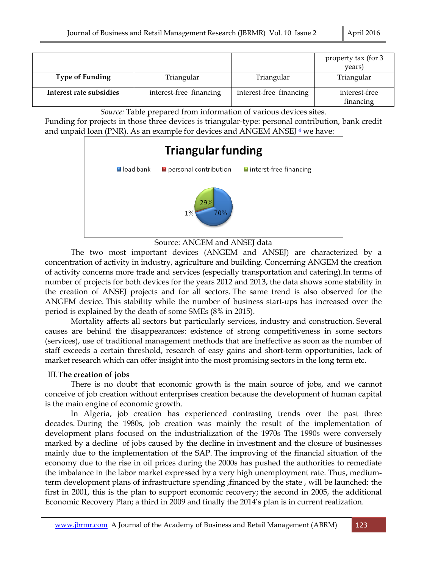|                         |                         |                         | property tax (for 3<br>years) |
|-------------------------|-------------------------|-------------------------|-------------------------------|
| <b>Type of Funding</b>  | Triangular              | Triangular              | Triangular                    |
| Interest rate subsidies | interest-free financing | interest-free financing | interest-free<br>financing    |

*Source:* Table prepared from information of various devices sites.

Funding for projects in those three devices is triangular-type: personal contribution, bank credit and unpaid loan (PNR). As an example for devices and ANGEM ANSEJ  $4$  we have:



Source: ANGEM and ANSEJ data

 The two most important devices (ANGEM and ANSEJ) are characterized by a concentration of activity in industry, agriculture and building. Concerning ANGEM the creation of activity concerns more trade and services (especially transportation and catering).In terms of number of projects for both devices for the years 2012 and 2013, the data shows some stability in the creation of ANSEJ projects and for all sectors. The same trend is also observed for the ANGEM device. This stability while the number of business start-ups has increased over the period is explained by the death of some SMEs (8% in 2015).

 Mortality affects all sectors but particularly services, industry and construction. Several causes are behind the disappearances: existence of strong competitiveness in some sectors (services), use of traditional management methods that are ineffective as soon as the number of staff exceeds a certain threshold, research of easy gains and short-term opportunities, lack of market research which can offer insight into the most promising sectors in the long term etc.

## III.**The creation of jobs**

 There is no doubt that economic growth is the main source of jobs, and we cannot conceive of job creation without enterprises creation because the development of human capital is the main engine of economic growth.

 In Algeria, job creation has experienced contrasting trends over the past three decades. During the 1980s, job creation was mainly the result of the implementation of development plans focused on the industrialization of the 1970s The 1990s were conversely marked by a decline of jobs caused by the decline in investment and the closure of businesses mainly due to the implementation of the SAP. The improving of the financial situation of the economy due to the rise in oil prices during the 2000s has pushed the authorities to remediate the imbalance in the labor market expressed by a very high unemployment rate. Thus, mediumterm development plans of infrastructure spending ,financed by the state , will be launched: the first in 2001, this is the plan to support economic recovery; the second in 2005, the additional Economic Recovery Plan; a third in 2009 and finally the 2014's plan is in current realization.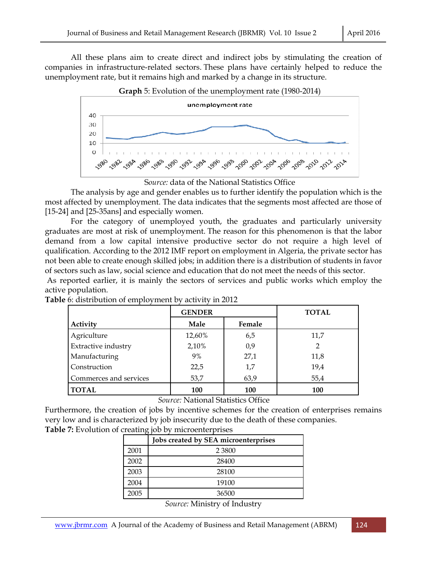All these plans aim to create direct and indirect jobs by stimulating the creation of companies in infrastructure-related sectors. These plans have certainly helped to reduce the unemployment rate, but it remains high and marked by a change in its structure.







 The analysis by age and gender enables us to further identify the population which is the most affected by unemployment. The data indicates that the segments most affected are those of [15-24] and [25-35ans] and especially women.

 For the category of unemployed youth, the graduates and particularly university graduates are most at risk of unemployment. The reason for this phenomenon is that the labor demand from a low capital intensive productive sector do not require a high level of qualification. According to the 2012 IMF report on employment in Algeria, the private sector has not been able to create enough skilled jobs; in addition there is a distribution of students in favor of sectors such as law, social science and education that do not meet the needs of this sector.

 As reported earlier, it is mainly the sectors of services and public works which employ the active population.

|                        | <b>GENDER</b> |        | <b>TOTAL</b> |
|------------------------|---------------|--------|--------------|
| Activity               | Male          | Female |              |
| Agriculture            | 12,60%        | 6,5    | 11,7         |
| Extractive industry    | 2,10%         | 0,9    | 2            |
| Manufacturing          | 9%            | 27,1   | 11,8         |
| Construction           | 22,5          | 1,7    | 19,4         |
| Commerces and services | 53,7          | 63,9   | 55,4         |
| <b>TOTAL</b>           | 100           | 100    | 100          |

**Table** 6: distribution of employment by activity in 2012

*Source:* National Statistics Office

Furthermore, the creation of jobs by incentive schemes for the creation of enterprises remains very low and is characterized by job insecurity due to the death of these companies. **Table 7:** Evolution of creating job by microenterprises

|      | Jobs created by SEA microenterprises |
|------|--------------------------------------|
| 2001 | 2 3 8 0 0                            |
| 2002 | 28400                                |
| 2003 | 28100                                |
| 2004 | 19100                                |
| 2005 | 36500                                |

*Source:* Ministry of Industry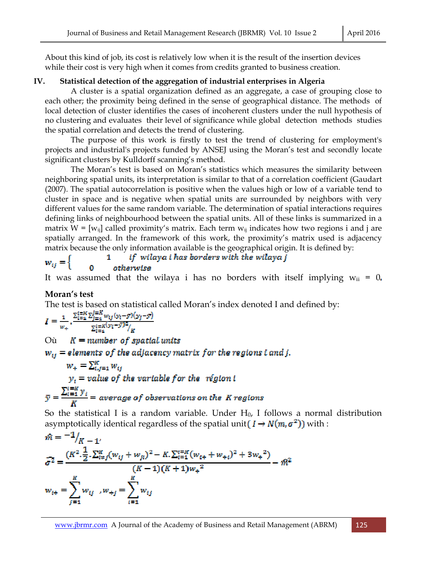About this kind of job, its cost is relatively low when it is the result of the insertion devices while their cost is very high when it comes from credits granted to business creation.

## **IV. Statistical detection of the aggregation of industrial enterprises in Algeria**

 A cluster is a spatial organization defined as an aggregate, a case of grouping close to each other; the proximity being defined in the sense of geographical distance. The methods of local detection of cluster identifies the cases of incoherent clusters under the null hypothesis of no clustering and evaluates their level of significance while global detection methods studies the spatial correlation and detects the trend of clustering.

 The purpose of this work is firstly to test the trend of clustering for employment's projects and industrial's projects funded by ANSEJ using the Moran's test and secondly locate significant clusters by Kulldorff scanning's method.

 The Moran's test is based on Moran's statistics which measures the similarity between neighboring spatial units, its interpretation is similar to that of a correlation coefficient (Gaudart (2007). The spatial autocorrelation is positive when the values high or low of a variable tend to cluster in space and is negative when spatial units are surrounded by neighbors with very different values for the same random variable. The determination of spatial interactions requires defining links of neighbourhood between the spatial units. All of these links is summarized in a matrix  $W = [w_{ij}]$  called proximity's matrix. Each term  $w_{ij}$  indicates how two regions i and j are spatially arranged. In the framework of this work, the proximity's matrix used is adjacency matrix because the only information available is the geographical origin. It is defined by:

#### if wilaya i has borders with the wilaya j 1

 $w_{ij} = \}$ otherwise

It was assumed that the wilaya i has no borders with itself implying  $w_{ii} = 0$ .

## **Moran's test**

 $11$ 

The test is based on statistical called Moran's index denoted I and defined by:

$$
I = \frac{1}{w_+} \cdot \frac{\sum_{i=1}^{i=K} \sum_{j=1}^{j=K} w_{ij} (y_i - \bar{y}) (y_j - \bar{y})}{\sum_{i=1}^{i=K} (y_i - \bar{y})^2 / K}
$$

 $K = number of spatial units$ Où

# $w_{ij}$  = elements of the adjacency matrix for the regions i and j.

$$
w_{+} = \sum_{i,j=1}^{K} w_{ij}
$$
  

$$
y_{i} = value \ of \ the \ variable \ for \ the \ \ region \ i
$$
  

$$
\overline{y} = \frac{\sum_{i=1}^{i=K} y_{i}}{K} = average \ of \ observations \ on \ the \ K \ regions
$$

So the statistical I is a random variable. Under  $H_0$ , I follows a normal distribution asymptotically identical regardless of the spatial unit  $(I \to N(m, \sigma^2))$  with :

$$
\hat{m} = -\frac{1}{K} \sum_{i=1}^{K} \frac{1}{2} \cdot \sum_{i=1}^{K} (w_{ij} + w_{ji})^2 - K \cdot \sum_{i=1}^{K} (w_{i+} + w_{+i})^2 + 3w_+^2)}{(K - 1)(K + 1)w_+^2} - \hat{m}^2
$$

$$
w_{i+} = \sum_{j=1}^{K} w_{ij}, w_{+j} = \sum_{i=1}^{K} w_{ij}
$$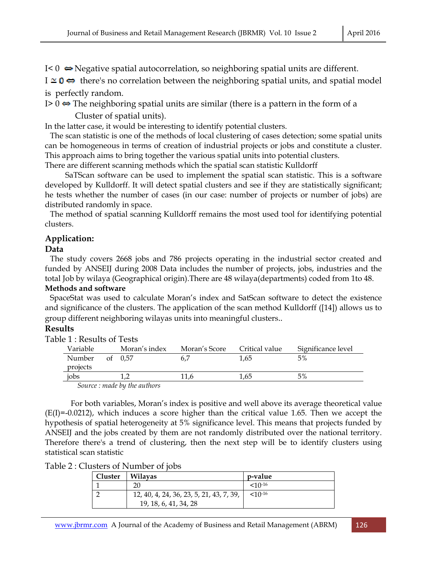$I < 0 \Leftrightarrow$  Negative spatial autocorrelation, so neighboring spatial units are different.

 $I \cong \mathbf{0} \Leftrightarrow$  there's no correlation between the neighboring spatial units, and spatial model is perfectly random.

I  $> 0 \Leftrightarrow$  The neighboring spatial units are similar (there is a pattern in the form of a

Cluster of spatial units).

In the latter case, it would be interesting to identify potential clusters.

 The scan statistic is one of the methods of local clustering of cases detection; some spatial units can be homogeneous in terms of creation of industrial projects or jobs and constitute a cluster. This approach aims to bring together the various spatial units into potential clusters.

There are different scanning methods which the spatial scan statistic Kulldorff

 SaTScan software can be used to implement the spatial scan statistic. This is a software developed by Kulldorff. It will detect spatial clusters and see if they are statistically significant; he tests whether the number of cases (in our case: number of projects or number of jobs) are distributed randomly in space.

 The method of spatial scanning Kulldorff remains the most used tool for identifying potential clusters.

## **Application:**

## **Data**

 The study covers 2668 jobs and 786 projects operating in the industrial sector created and funded by ANSEIJ during 2008 Data includes the number of projects, jobs, industries and the total Job by wilaya (Geographical origin).There are 48 wilaya(departments) coded from 1to 48.

### **Methods and software**

 SpaceStat was used to calculate Moran's index and SatScan software to detect the existence and significance of the clusters. The application of the scan method Kulldorff ([14]) allows us to group different neighboring wilayas units into meaningful clusters..

## **Results**

| e 1 : Results of Tests |                                                           |               |                |                    |
|------------------------|-----------------------------------------------------------|---------------|----------------|--------------------|
| Variable               | Moran's index                                             | Moran's Score | Critical value | Significance level |
| Number                 | of 0.57                                                   | 6.7           | 1.65           | 5%                 |
| projects               |                                                           |               |                |                    |
| jobs                   |                                                           | 11.6          | 1.65           | 5%                 |
|                        | $\alpha$ $\alpha$ $\beta$ $\beta$ $\beta$ $\beta$ $\beta$ |               |                |                    |

Table  $1: R$ 

 *Source : made by the authors* 

For both variables, Moran's index is positive and well above its average theoretical value  $(E(I)=-0.0212)$ , which induces a score higher than the critical value 1.65. Then we accept the hypothesis of spatial heterogeneity at 5% significance level. This means that projects funded by ANSEIJ and the jobs created by them are not randomly distributed over the national territory. Therefore there's a trend of clustering, then the next step will be to identify clusters using statistical scan statistic

| Table 2: Clusters of Number of jobs |  |  |
|-------------------------------------|--|--|
|-------------------------------------|--|--|

| Cluster | <b>Wilayas</b>                           | p-value               |
|---------|------------------------------------------|-----------------------|
|         | 20                                       | $< 10^{-16}$          |
|         | 12, 40, 4, 24, 36, 23, 5, 21, 43, 7, 39, | $<$ 10 <sup>-16</sup> |
|         | 19, 18, 6, 41, 34, 28                    |                       |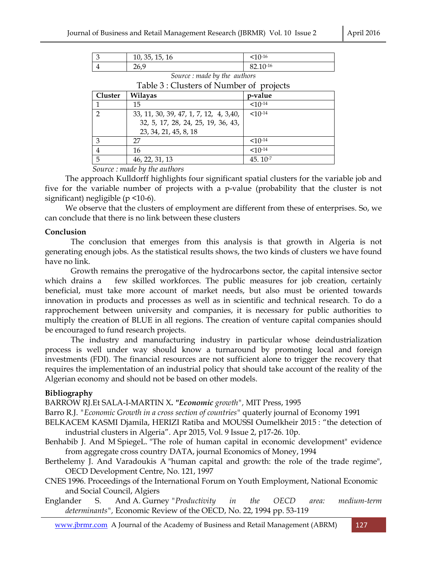| . 35, 15, 16<br>10, 35, | $10^{-16}$           |
|-------------------------|----------------------|
| ว∕⊳<br>$\angle U_{L}$   | $8210 - 16$<br>∪4.⊥∪ |

*Source : made by the authors* 

| Table 3 : Clusters of Number of projects |                                        |              |  |  |
|------------------------------------------|----------------------------------------|--------------|--|--|
| Cluster                                  | <b>Wilayas</b>                         | p-value      |  |  |
|                                          | 15                                     | $<10^{-14}$  |  |  |
| ി                                        | 33, 11, 30, 39, 47, 1, 7, 12, 4, 3,40, | $<10^{-14}$  |  |  |
|                                          | 32, 5, 17, 28, 24, 25, 19, 36, 43,     |              |  |  |
|                                          | 23, 34, 21, 45, 8, 18                  |              |  |  |
|                                          | 27                                     | $< 10^{-14}$ |  |  |
|                                          | 16                                     | $<10^{-14}$  |  |  |
| 5                                        | 46, 22, 31, 13                         | $45.10-7$    |  |  |

 *Source : made by the authors* 

 The approach Kulldorff highlights four significant spatial clusters for the variable job and five for the variable number of projects with a p-value (probability that the cluster is not significant) negligible (p <10-6).

 We observe that the clusters of employment are different from these of enterprises. So, we can conclude that there is no link between these clusters

#### **Conclusion**

 The conclusion that emerges from this analysis is that growth in Algeria is not generating enough jobs. As the statistical results shows, the two kinds of clusters we have found have no link.

 Growth remains the prerogative of the hydrocarbons sector, the capital intensive sector which drains a few skilled workforces. The public measures for job creation, certainly beneficial, must take more account of market needs, but also must be oriented towards innovation in products and processes as well as in scientific and technical research. To do a rapprochement between university and companies, it is necessary for public authorities to multiply the creation of BLUE in all regions. The creation of venture capital companies should be encouraged to fund research projects.

 The industry and manufacturing industry in particular whose deindustrialization process is well under way should know a turnaround by promoting local and foreign investments (FDI). The financial resources are not sufficient alone to trigger the recovery that requires the implementation of an industrial policy that should take account of the reality of the Algerian economy and should not be based on other models.

### **Bibliography**

BARROW RJ.Et SALA-I-MARTIN X**.** *"Economic growth",* MIT Press, 1995

Barro R.J. *"Economic Growth in a cross section of countries"* quaterly journal of Economy 1991

BELKACEM KASMI Djamila, HERIZI Ratiba and MOUSSI Oumelkheir 2015 : "the detection of industrial clusters in Algeria". Apr 2015, Vol. 9 Issue 2, p17-26. 10p.

- Benhabib J. And M SpiegeL. "The role of human capital in economic development" evidence from aggregate cross country DATA, journal Economics of Money, 1994
- Berthelemy J. And Varadoukis A "human capital and growth: the role of the trade regime", OECD Development Centre, No. 121, 1997
- CNES 1996. Proceedings of the International Forum on Youth Employment, National Economic and Social Council, Algiers
- Englander S. And A. Gurney *"Productivity in the OECD area: medium-term determinants",* Economic Review of the OECD, No. 22, 1994 pp. 53-119